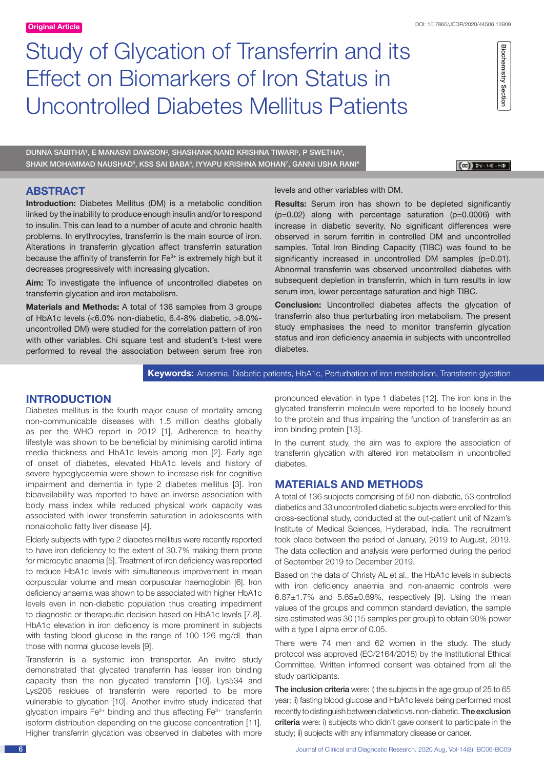# Study of Glycation of Transferrin and its Effect on Biomarkers of Iron Status in Uncontrolled Diabetes Mellitus Patients

DUNNA SABITHA<sup>1</sup>, E MANASVI DAWSON<sup>2</sup>, SHASHANK NAND KRISHNA TIWARI<sup>3</sup>, P SWETHA<sup>4</sup>, SHAIK MOHAMMAD NAUSHAD<sup>5</sup>, KSS SAI BABA<sup>6</sup>, IYYAPU KRISHNA MOHAN<sup>7</sup>, GANNI USHA RANI<sup>8</sup>

 $\left[\left(\begin{matrix}\overline{00}\\ 01\end{matrix}\right)\right]$  DY-MC-ND

Biochemistry Section

**Biochemistry Section** 

# **ABSTRACT**

**Introduction:** Diabetes Mellitus (DM) is a metabolic condition linked by the inability to produce enough insulin and/or to respond to insulin. This can lead to a number of acute and chronic health problems. In erythrocytes, transferrin is the main source of iron. Alterations in transferrin glycation affect transferrin saturation because the affinity of transferrin for  $Fe<sup>3+</sup>$  is extremely high but it decreases progressively with increasing glycation.

**Aim:** To investigate the influence of uncontrolled diabetes on transferrin glycation and iron metabolism.

**Materials and Methods:** A total of 136 samples from 3 groups of HbA1c levels (<6.0% non-diabetic, 6.4-8% diabetic, >8.0% uncontrolled DM) were studied for the correlation pattern of iron with other variables. Chi square test and student's t-test were performed to reveal the association between serum free iron

# levels and other variables with DM.

**Results:** Serum iron has shown to be depleted significantly (p=0.02) along with percentage saturation (p=0.0006) with increase in diabetic severity. No significant differences were observed in serum ferritin in controlled DM and uncontrolled samples. Total Iron Binding Capacity (TIBC) was found to be significantly increased in uncontrolled DM samples (p=0.01). Abnormal transferrin was observed uncontrolled diabetes with subsequent depletion in transferrin, which in turn results in low serum iron, lower percentage saturation and high TIBC.

**Conclusion:** Uncontrolled diabetes affects the glycation of transferrin also thus perturbating iron metabolism. The present study emphasises the need to monitor transferrin glycation status and iron deficiency anaemia in subjects with uncontrolled diabetes.

#### **Keywords:** Anaemia, Diabetic patients, HbA1c, Perturbation of iron metabolism, Transferrin glycation

# **INTRODUCTION**

Diabetes mellitus is the fourth major cause of mortality among non-communicable diseases with 1.5 million deaths globally as per the WHO report in 2012 [1]. Adherence to healthy lifestyle was shown to be beneficial by minimising carotid intima media thickness and HbA1c levels among men [2]. Early age of onset of diabetes, elevated HbA1c levels and history of severe hypoglycaemia were shown to increase risk for cognitive impairment and dementia in type 2 diabetes mellitus [3]. Iron bioavailability was reported to have an inverse association with body mass index while reduced physical work capacity was associated with lower transferrin saturation in adolescents with nonalcoholic fatty liver disease [4].

Elderly subjects with type 2 diabetes mellitus were recently reported to have iron deficiency to the extent of 30.7% making them prone for microcytic anaemia [5]. Treatment of iron deficiency was reported to reduce HbA1c levels with simultaneous improvement in mean corpuscular volume and mean corpuscular haemoglobin [6]. Iron deficiency anaemia was shown to be associated with higher HbA1c levels even in non-diabetic population thus creating impediment to diagnostic or therapeutic decision based on HbA1c levels [7,8]. HbA1c elevation in iron deficiency is more prominent in subjects with fasting blood glucose in the range of 100-126 mg/dL than those with normal glucose levels [9].

Transferrin is a systemic iron transporter. An invitro study demonstrated that glycated transferrin has lesser iron binding capacity than the non glycated transferrin [10]. Lys534 and Lys206 residues of transferrin were reported to be more vulnerable to glycation [10]. Another invitro study indicated that glycation impairs  $Fe<sup>3+</sup>$  binding and thus affecting  $Fe<sup>3+</sup>$  transferrin isoform distribution depending on the glucose concentration [11]. Higher transferrin glycation was observed in diabetes with more pronounced elevation in type 1 diabetes [12]. The iron ions in the glycated transferrin molecule were reported to be loosely bound to the protein and thus impairing the function of transferrin as an iron binding protein [13].

In the current study, the aim was to explore the association of transferrin glycation with altered iron metabolism in uncontrolled diabetes.

# **MATERIALS AND METHODS**

A total of 136 subjects comprising of 50 non-diabetic, 53 controlled diabetics and 33 uncontrolled diabetic subjects were enrolled for this cross-sectional study, conducted at the out-patient unit of Nizam's Institute of Medical Sciences, Hyderabad, India. The recruitment took place between the period of January, 2019 to August, 2019. The data collection and analysis were performed during the period of September 2019 to December 2019.

Based on the data of Christy AL et al., the HbA1c levels in subjects with iron deficiency anaemia and non-anaemic controls were  $6.87\pm1.7\%$  and  $5.65\pm0.69\%$ , respectively [9]. Using the mean values of the groups and common standard deviation, the sample size estimated was 30 (15 samples per group) to obtain 90% power with a type I alpha error of 0.05.

There were 74 men and 62 women in the study. The study protocol was approved (EC/2164/2018) by the Institutional Ethical Committee. Written informed consent was obtained from all the study participants.

The inclusion criteria were: i) the subjects in the age group of 25 to 65 year; ii) fasting blood glucose and HbA1c levels being performed most recently to distinguish between diabetic vs. non-diabetic. The exclusion criteria were: i) subjects who didn't gave consent to participate in the study; ii) subjects with any inflammatory disease or cancer.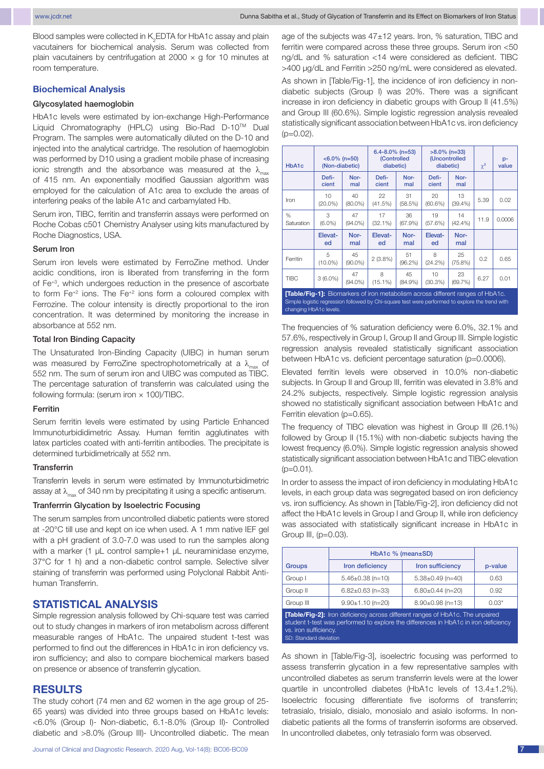Blood samples were collected in  $\mathsf{K}_{2}$ EDTA for HbA1c assay and plain vacutainers for biochemical analysis. Serum was collected from plain vacutainers by centrifugation at  $2000 \times g$  for 10 minutes at room temperature.

#### **Biochemical Analysis**

#### Glycosylated haemoglobin

HbA1c levels were estimated by ion-exchange High-Performance Liquid Chromatography (HPLC) using Bio-Rad D-10TM Dual Program. The samples were automatically diluted on the D-10 and injected into the analytical cartridge. The resolution of haemoglobin was performed by D10 using a gradient mobile phase of increasing ionic strength and the absorbance was measured at the  $\lambda_{\text{max}}$ of 415 nm. An exponentially modified Gaussian algorithm was employed for the calculation of A1c area to exclude the areas of interfering peaks of the labile A1c and carbamylated Hb.

Serum iron, TIBC, ferritin and transferrin assays were performed on Roche Cobas c501 Chemistry Analyser using kits manufactured by Roche Diagnostics, USA.

#### Serum Iron

Serum iron levels were estimated by FerroZine method. Under acidic conditions, iron is liberated from transferring in the form of Fe+3, which undergoes reduction in the presence of ascorbate to form Fe<sup>+2</sup> ions. The Fe<sup>+2</sup> ions form a coloured complex with Ferrozine. The colour intensity is directly proportional to the iron concentration. It was determined by monitoring the increase in absorbance at 552 nm.

#### Total Iron Binding Capacity

The Unsaturated Iron-Binding Capacity (UIBC) in human serum was measured by FerroZine spectrophotometrically at a  $\lambda_{\text{max}}$  of 552 nm. The sum of serum iron and UIBC was computed as TIBC. The percentage saturation of transferrin was calculated using the following formula: (serum iron × 100)/TIBC.

#### Ferritin

Serum ferritin levels were estimated by using Particle Enhanced Immunoturbididimetric Assay. Human ferritin agglutinates with latex particles coated with anti-ferritin antibodies. The precipitate is determined turbidimetrically at 552 nm.

#### **Transferrin**

Transferrin levels in serum were estimated by Immunoturbidimetric assay at  $\lambda_{\text{max}}$  of 340 nm by precipitating it using a specific antiserum.

#### Tranferrrin Glycation by Isoelectric Focusing

The serum samples from uncontrolled diabetic patients were stored at -20°C till use and kept on ice when used. A 1 mm native IEF gel with a pH gradient of 3.0-7.0 was used to run the samples along with a marker (1 µL control sample+1 µL neuraminidase enzyme, 37°C for 1 h) and a non-diabetic control sample. Selective silver staining of transferrin was performed using Polyclonal Rabbit Antihuman Transferrin.

# **STATISTICAL ANALYSIS**

Simple regression analysis followed by Chi-square test was carried out to study changes in markers of iron metabolism across different measurable ranges of HbA1c. The unpaired student t-test was performed to find out the differences in HbA1c in iron deficiency vs. iron sufficiency; and also to compare biochemical markers based on presence or absence of transferrin glycation.

# **RESULTS**

The study cohort (74 men and 62 women in the age group of 25- 65 years) was divided into three groups based on HbA1c levels: <6.0% (Group I)- Non-diabetic, 6.1-8.0% (Group II)- Controlled diabetic and >8.0% (Group III)- Uncontrolled diabetic. The mean

age of the subjects was 47±12 years. Iron, % saturation, TIBC and ferritin were compared across these three groups. Serum iron <50 ng/dL and % saturation <14 were considered as deficient. TIBC >400 µg/dL and Ferritin >250 ng/mL were considered as elevated.

As shown in [Table/Fig-1], the incidence of iron deficiency in nondiabetic subjects (Group I) was 20%. There was a significant increase in iron deficiency in diabetic groups with Group II (41.5%) and Group III (60.6%). Simple logistic regression analysis revealed statistically significant association between HbA1c vs. iron deficiency  $(p=0.02)$ .

| HbA1c                                                                                | $< 6.0\%$ (n=50)<br>(Non-diabetic) |                  | $6.4 - 8.0\%$ (n=53)<br>(Controlled<br>diabetic) |               | $>8.0\%$ (n=33)<br>(Uncontrolled<br>diabetic) |                  | $\chi^2$ | p-<br>value |
|--------------------------------------------------------------------------------------|------------------------------------|------------------|--------------------------------------------------|---------------|-----------------------------------------------|------------------|----------|-------------|
|                                                                                      | Defi-<br>cient                     | Nor-<br>mal      | Defi-<br>cient                                   | Nor-<br>mal   | Defi-<br>cient                                | Nor-<br>mal      |          |             |
| Iron                                                                                 | 10<br>$(20.0\%)$                   | 40<br>$(80.0\%)$ | 22<br>(41.5%)                                    | 31<br>(58.5%) | 20<br>(60.6%)                                 | 13<br>$(39.4\%)$ | 5.39     | 0.02        |
| %<br>Saturation                                                                      | 3<br>$(6.0\%)$                     | 47<br>$(94.0\%)$ | 17<br>$(32.1\%)$                                 | 36<br>(67.9%) | 19<br>(57.6%)                                 | 14<br>(42.4%     | 11.9     | 0.0006      |
|                                                                                      | Elevat-<br>ed                      | Nor-<br>mal      | Elevat-<br>ed                                    | Nor-<br>mal   | Elevat-<br>ed                                 | Nor-<br>mal      |          |             |
| Ferritin                                                                             | 5<br>$(10.0\%)$                    | 45<br>$(90.0\%)$ | $2(3.8\%)$                                       | 51<br>(96.2%) | 8<br>(24.2%)                                  | 25<br>$(75.8\%)$ | 0.2      | 0.65        |
| <b>TIBC</b>                                                                          | $3(6.0\%)$                         | 47<br>$(94.0\%)$ | 8<br>(15.1%)                                     | 45<br>(84.9%) | 10<br>(30.3%)                                 | 23<br>(69.7%)    | 6.27     | 0.01        |
| <b>TTable/Fig-11:</b> Biomarkers of iron metabolism across different ranges of HbA1c |                                    |                  |                                                  |               |                                               |                  |          |             |

**[Table/Fig-1]:** Biomarkers of iron metabolism across different ranges of HbA1c. Simple logistic regression followed by Chi-square test were performed to explore the trend with changing HbA1c levels.

The frequencies of % saturation deficiency were 6.0%, 32.1% and 57.6%, respectively in Group I, Group II and Group III. Simple logistic regression analysis revealed statistically significant association between HbA1c vs. deficient percentage saturation (p=0.0006).

Elevated ferritin levels were observed in 10.0% non-diabetic subjects. In Group II and Group III, ferritin was elevated in 3.8% and 24.2% subjects, respectively. Simple logistic regression analysis showed no statistically significant association between HbA1c and Ferritin elevation (p=0.65).

The frequency of TIBC elevation was highest in Group III (26.1%) followed by Group II (15.1%) with non-diabetic subjects having the lowest frequency (6.0%). Simple logistic regression analysis showed statistically significant association between HbA1c and TIBC elevation  $(p=0.01)$ .

In order to assess the impact of iron deficiency in modulating HbA1c levels, in each group data was segregated based on iron deficiency vs. iron sufficiency. As shown in [Table/Fig-2], iron deficiency did not affect the HbA1c levels in Group I and Group II, while iron deficiency was associated with statistically significant increase in HbA1c in Group III, (p=0.03).

|               | HbA1c % (mean±SD)      |                      |         |
|---------------|------------------------|----------------------|---------|
| <b>Groups</b> | Iron deficiency        | Iron sufficiency     | p-value |
| Group I       | $5.46 \pm 0.38$ (n=10) | $5.38\pm0.49$ (n=40) | 0.63    |
| Group II      | $6.82 \pm 0.63$ (n=33) | $6.80\pm0.44$ (n=20) | 0.92    |
| Group III     | $9.90 \pm 1.10$ (n=20) | $8.90\pm0.98$ (n=13) | $0.03*$ |

**[Table/Fig-2]:** Iron deficiency across different ranges of HbA1c. The unpaired student t-test was performed to explore the differences in HbA1c in iron deficiency vs. iron sufficiency. SD: Standard deviation

As shown in [Table/Fig-3], isoelectric focusing was performed to assess transferrin glycation in a few representative samples with uncontrolled diabetes as serum transferrin levels were at the lower quartile in uncontrolled diabetes (HbA1c levels of 13.4±1.2%). Isoelectric focusing differentiate five isoforms of transferrin; tetrasialo, trisialo, disialo, monosialo and asialo isoforms. In nondiabetic patients all the forms of transferrin isoforms are observed. In uncontrolled diabetes, only tetrasialo form was observed.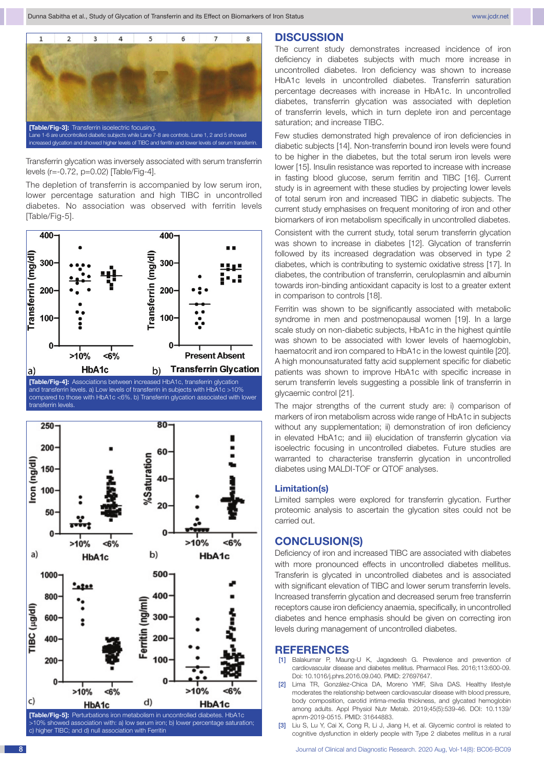

Transferrin glycation was inversely associated with serum transferrin levels (r=-0.72, p=0.02) [Table/Fig-4].

The depletion of transferrin is accompanied by low serum iron, lower percentage saturation and high TIBC in uncontrolled diabetes. No association was observed with ferritin levels [Table/Fig-5].





# **DISCUSSION**

The current study demonstrates increased incidence of iron deficiency in diabetes subjects with much more increase in uncontrolled diabetes. Iron deficiency was shown to increase HbA1c levels in uncontrolled diabetes. Transferrin saturation percentage decreases with increase in HbA1c. In uncontrolled diabetes, transferrin glycation was associated with depletion of transferrin levels, which in turn deplete iron and percentage saturation; and increase TIBC.

Few studies demonstrated high prevalence of iron deficiencies in diabetic subjects [14]. Non-transferrin bound iron levels were found to be higher in the diabetes, but the total serum iron levels were lower [15]. Insulin resistance was reported to increase with increase in fasting blood glucose, serum ferritin and TIBC [16]. Current study is in agreement with these studies by projecting lower levels of total serum iron and increased TIBC in diabetic subjects. The current study emphasises on frequent monitoring of iron and other biomarkers of iron metabolism specifically in uncontrolled diabetes.

Consistent with the current study, total serum transferrin glycation was shown to increase in diabetes [12]. Glycation of transferrin followed by its increased degradation was observed in type 2 diabetes, which is contributing to systemic oxidative stress [17]. In diabetes, the contribution of transferrin, ceruloplasmin and albumin towards iron-binding antioxidant capacity is lost to a greater extent in comparison to controls [18].

Ferritin was shown to be significantly associated with metabolic syndrome in men and postmenopausal women [19]. In a large scale study on non-diabetic subjects, HbA1c in the highest quintile was shown to be associated with lower levels of haemoglobin, haematocrit and iron compared to HbA1c in the lowest quintile [20]. A high monounsaturated fatty acid supplement specific for diabetic patients was shown to improve HbA1c with specific increase in serum transferrin levels suggesting a possible link of transferrin in glycaemic control [21].

The major strengths of the current study are: i) comparison of markers of iron metabolism across wide range of HbA1c in subjects without any supplementation; ii) demonstration of iron deficiency in elevated HbA1c; and iii) elucidation of transferrin glycation via isoelectric focusing in uncontrolled diabetes. Future studies are warranted to characterise transferrin glycation in uncontrolled diabetes using MALDI-TOF or QTOF analyses.

#### **Limitation(s)**

Limited samples were explored for transferrin glycation. Further proteomic analysis to ascertain the glycation sites could not be carried out.

# **CONCLUSION(S)**

Deficiency of iron and increased TIBC are associated with diabetes with more pronounced effects in uncontrolled diabetes mellitus. Transferin is glycated in uncontrolled diabetes and is associated with significant elevation of TIBC and lower serum transferrin levels. Increased transferrin glycation and decreased serum free transferrin receptors cause iron deficiency anaemia, specifically, in uncontrolled diabetes and hence emphasis should be given on correcting iron levels during management of uncontrolled diabetes.

#### **REFERENCES**

- [1] Balakumar P, Maung-U K, Jagadeesh G. Prevalence and prevention of cardiovascular disease and diabetes mellitus. Pharmacol Res. 2016;113:600-09. Doi: 10.1016/j.phrs.2016.09.040. PMID: 27697647.
- [2] Lima TR, González-Chica DA, Moreno YMF, Silva DAS. Healthy lifestyle moderates the relationship between cardiovascular disease with blood pressure, body composition, carotid intima-media thickness, and glycated hemoglobin among adults. Appl Physiol Nutr Metab. 2019;45(5):539-46. DOI: 10.1139/ apnm-2019-0515. PMID: 31644883.
- [3] Liu S, Lu Y, Cai X, Cong R, Li J, Jiang H, et al. Glycemic control is related to cognitive dysfunction in elderly people with Type 2 diabetes mellitus in a rural